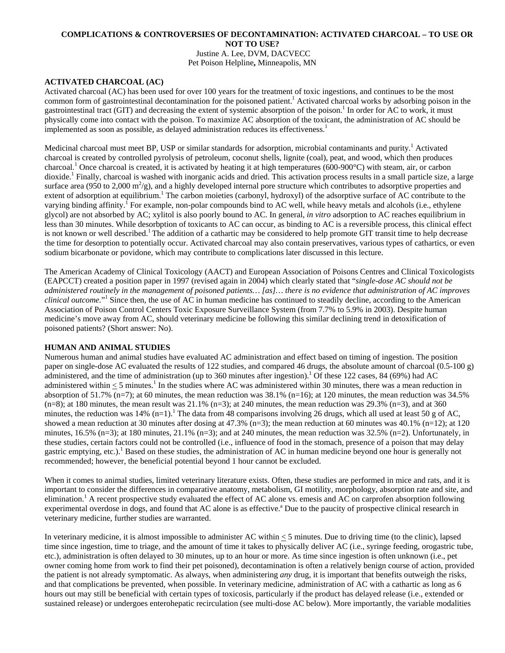### **COMPLICATIONS & CONTROVERSIES OF DECONTAMINATION: ACTIVATED CHARCOAL – TO USE OR NOT TO USE?**  Justine A. Lee, DVM, DACVECC Pet Poison Helpline**,** Minneapolis, MN

# **ACTIVATED CHARCOAL (AC)**

Activated charcoal (AC) has been used for over 100 years for the treatment of toxic ingestions, and continues to be the most common form of gastrointestinal decontamination for the poisoned patient.<sup>1</sup> Activated charcoal works by adsorbing poison in the gastrointestinal tract (GIT) and decreasing the extent of systemic absorption of the poison.<sup>1</sup> In order for AC to work, it must physically come into contact with the poison. To maximize AC absorption of the toxicant, the administration of AC should be implemented as soon as possible, as delayed administration reduces its effectiveness.<sup>1</sup>

Medicinal charcoal must meet BP, USP or similar standards for adsorption, microbial contaminants and purity.<sup>1</sup> Activated charcoal is created by controlled pyrolysis of petroleum, coconut shells, lignite (coal), peat, and wood, which then produces charcoal.<sup>1</sup> Once charcoal is created, it is activated by heating it at high temperatures (600-900°C) with steam, air, or carbon dioxide.<sup>1</sup> Finally, charcoal is washed with inorganic acids and dried. This activation process results in a small particle size, a large surface area (950 to 2,000  $\text{m}^2/\text{g}$ ), and a highly developed internal pore structure which contributes to adsorptive properties and extent of adsorption at equilibrium.<sup>1</sup> The carbon moieties (carbonyl, hydroxyl) of the adsorptive surface of AC contribute to the varying binding affinity.<sup>1</sup> For example, non-polar compounds bind to AC well, while heavy metals and alcohols (i.e., ethylene glycol) are not absorbed by AC; xylitol is also poorly bound to AC. In general, *in vitro* adsorption to AC reaches equilibrium in less than 30 minutes. While desorbption of toxicants to AC can occur, as binding to AC is a reversible process, this clinical effect is not known or well described.<sup>1</sup> The addition of a cathartic may be considered to help promote GIT transit time to help decrease the time for desorption to potentially occur. Activated charcoal may also contain preservatives, various types of cathartics, or even sodium bicarbonate or povidone, which may contribute to complications later discussed in this lecture.

The American Academy of Clinical Toxicology (AACT) and European Association of Poisons Centres and Clinical Toxicologists (EAPCCT) created a position paper in 1997 (revised again in 2004) which clearly stated that "*single-dose AC should not be administered routinely in the management of poisoned patients… [as]… there is no evidence that administration of AC improves*  clinical outcome."<sup>1</sup> Since then, the use of AC in human medicine has continued to steadily decline, according to the American Association of Poison Control Centers Toxic Exposure Surveillance System (from 7.7% to 5.9% in 2003). Despite human medicine's move away from AC, should veterinary medicine be following this similar declining trend in detoxification of poisoned patients? (Short answer: No).

### **HUMAN AND ANIMAL STUDIES**

Numerous human and animal studies have evaluated AC administration and effect based on timing of ingestion. The position paper on single-dose AC evaluated the results of 122 studies, and compared 46 drugs, the absolute amount of charcoal (0.5-100 g) administered, and the time of administration (up to 360 minutes after ingestion).<sup>1</sup> Of these 122 cases, 84 (69%) had AC administered within  $\leq$  5 minutes.<sup>1</sup> In the studies where AC was administered within 30 minutes, there was a mean reduction in absorption of 51.7% (n=7); at 60 minutes, the mean reduction was  $38.1\%$  (n=16); at 120 minutes, the mean reduction was  $34.5\%$  $(n=8)$ ; at 180 minutes, the mean result was 21.1%  $(n=3)$ ; at 240 minutes, the mean reduction was 29.3%  $(n=3)$ , and at 360 minutes, the reduction was 14%  $(n=1)$ .<sup>1</sup> The data from 48 comparisons involving 26 drugs, which all used at least 50 g of AC, showed a mean reduction at 30 minutes after dosing at  $47.3\%$  (n=3); the mean reduction at 60 minutes was  $40.1\%$  (n=12); at 120 minutes, 16.5% (n=3); at 180 minutes, 21.1% (n=3); and at 240 minutes, the mean reduction was 32.5% (n=2). Unfortunately, in these studies, certain factors could not be controlled (i.e., influence of food in the stomach, presence of a poison that may delay gastric emptying, etc.).<sup>1</sup> Based on these studies, the administration of AC in human medicine beyond one hour is generally not recommended; however, the beneficial potential beyond 1 hour cannot be excluded.

When it comes to animal studies, limited veterinary literature exists. Often, these studies are performed in mice and rats, and it is important to consider the differences in comparative anatomy, metabolism, GI motility, morphology, absorption rate and site, and elimination.<sup>1</sup> A recent prospective study evaluated the effect of AC alone vs. emesis and AC on carprofen absorption following experimental overdose in dogs, and found that AC alone is as effective.<sup>ª</sup> Due to the paucity of prospective clinical research in veterinary medicine, further studies are warranted.

In veterinary medicine, it is almost impossible to administer AC within < 5 minutes. Due to driving time (to the clinic), lapsed time since ingestion, time to triage, and the amount of time it takes to physically deliver AC (i.e., syringe feeding, orogastric tube, etc.), administration is often delayed to 30 minutes, up to an hour or more. As time since ingestion is often unknown (i.e., pet owner coming home from work to find their pet poisoned), decontamination is often a relatively benign course of action, provided the patient is not already symptomatic. As always, when administering *any* drug, it is important that benefits outweigh the risks, and that complications be prevented, when possible. In veterinary medicine, administration of AC with a cathartic as long as 6 hours out may still be beneficial with certain types of toxicosis, particularly if the product has delayed release (i.e., extended or sustained release) or undergoes enterohepatic recirculation (see multi-dose AC below). More importantly, the variable modalities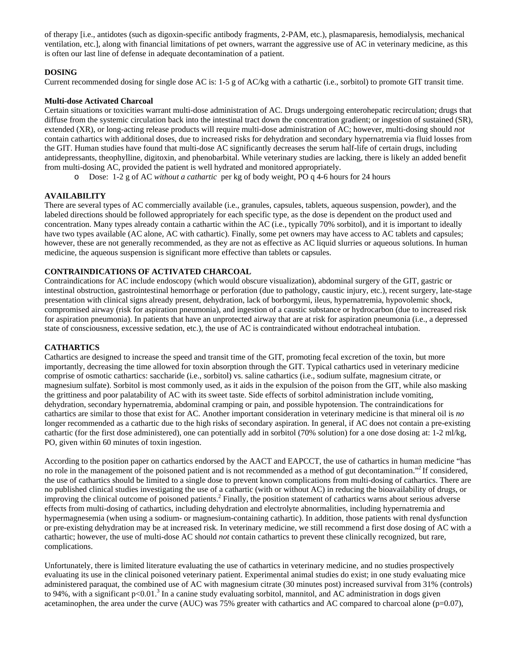of therapy [i.e., antidotes (such as digoxin-specific antibody fragments, 2-PAM, etc.), plasmaparesis, hemodialysis, mechanical ventilation, etc.], along with financial limitations of pet owners, warrant the aggressive use of AC in veterinary medicine, as this is often our last line of defense in adequate decontamination of a patient.

# **DOSING**

Current recommended dosing for single dose AC is: 1-5 g of AC/kg with a cathartic (i.e., sorbitol) to promote GIT transit time.

## **Multi-dose Activated Charcoal**

Certain situations or toxicities warrant multi-dose administration of AC. Drugs undergoing enterohepatic recirculation; drugs that diffuse from the systemic circulation back into the intestinal tract down the concentration gradient; or ingestion of sustained (SR), extended (XR), or long-acting release products will require multi-dose administration of AC; however, multi-dosing should *not*  contain cathartics with additional doses, due to increased risks for dehydration and secondary hypernatremia via fluid losses from the GIT. Human studies have found that multi-dose AC significantly decreases the serum half-life of certain drugs, including antidepressants, theophylline, digitoxin, and phenobarbital. While veterinary studies are lacking, there is likely an added benefit from multi-dosing AC, provided the patient is well hydrated and monitored appropriately.

o Dose: 1-2 g of AC *without a cathartic* per kg of body weight, PO q 4-6 hours for 24 hours

## **AVAILABILITY**

There are several types of AC commercially available (i.e., granules, capsules, tablets, aqueous suspension, powder), and the labeled directions should be followed appropriately for each specific type, as the dose is dependent on the product used and concentration. Many types already contain a cathartic within the AC (i.e., typically 70% sorbitol), and it is important to ideally have two types available (AC alone, AC with cathartic). Finally, some pet owners may have access to AC tablets and capsules; however, these are not generally recommended, as they are not as effective as AC liquid slurries or aqueous solutions. In human medicine, the aqueous suspension is significant more effective than tablets or capsules.

# **CONTRAINDICATIONS OF ACTIVATED CHARCOAL**

Contraindications for AC include endoscopy (which would obscure visualization), abdominal surgery of the GIT, gastric or intestinal obstruction, gastrointestinal hemorrhage or perforation (due to pathology, caustic injury, etc.), recent surgery, late-stage presentation with clinical signs already present, dehydration, lack of borborgymi, ileus, hypernatremia, hypovolemic shock, compromised airway (risk for aspiration pneumonia), and ingestion of a caustic substance or hydrocarbon (due to increased risk for aspiration pneumonia). In patients that have an unprotected airway that are at risk for aspiration pneumonia (i.e., a depressed state of consciousness, excessive sedation, etc.), the use of AC is contraindicated without endotracheal intubation.

# **CATHARTICS**

Cathartics are designed to increase the speed and transit time of the GIT, promoting fecal excretion of the toxin, but more importantly, decreasing the time allowed for toxin absorption through the GIT. Typical cathartics used in veterinary medicine comprise of osmotic cathartics: saccharide (i.e., sorbitol) vs. saline cathartics (i.e., sodium sulfate, magnesium citrate, or magnesium sulfate). Sorbitol is most commonly used, as it aids in the expulsion of the poison from the GIT, while also masking the grittiness and poor palatability of AC with its sweet taste. Side effects of sorbitol administration include vomiting, dehydration, secondary hypernatremia, abdominal cramping or pain, and possible hypotension. The contraindications for cathartics are similar to those that exist for AC. Another important consideration in veterinary medicine is that mineral oil is *no*  longer recommended as a cathartic due to the high risks of secondary aspiration. In general, if AC does not contain a pre-existing cathartic (for the first dose administered), one can potentially add in sorbitol (70% solution) for a one dose dosing at: 1-2 ml/kg, PO, given within 60 minutes of toxin ingestion.

According to the position paper on cathartics endorsed by the AACT and EAPCCT, the use of cathartics in human medicine "has no role in the management of the poisoned patient and is not recommended as a method of gut decontamination."<sup>2</sup> If considered, the use of cathartics should be limited to a single dose to prevent known complications from multi-dosing of cathartics. There are no published clinical studies investigating the use of a cathartic (with or without AC) in reducing the bioavailability of drugs, or improving the clinical outcome of poisoned patients.<sup>2</sup> Finally, the position statement of cathartics warns about serious adverse effects from multi-dosing of cathartics, including dehydration and electrolyte abnormalities, including hypernatremia and hypermagnesemia (when using a sodium- or magnesium-containing cathartic). In addition, those patients with renal dysfunction or pre-existing dehydration may be at increased risk. In veterinary medicine, we still recommend a first dose dosing of AC with a cathartic; however, the use of multi-dose AC should *not* contain cathartics to prevent these clinically recognized, but rare, complications.

Unfortunately, there is limited literature evaluating the use of cathartics in veterinary medicine, and no studies prospectively evaluating its use in the clinical poisoned veterinary patient. Experimental animal studies do exist; in one study evaluating mice administered paraquat, the combined use of AC with magnesium citrate (30 minutes post) increased survival from 31% (controls) to 94%, with a significant  $p<0.01$ <sup>3</sup> In a canine study evaluating sorbitol, mannitol, and AC administration in dogs given acetaminophen, the area under the curve (AUC) was 75% greater with cathartics and AC compared to charcoal alone ( $p=0.07$ ),